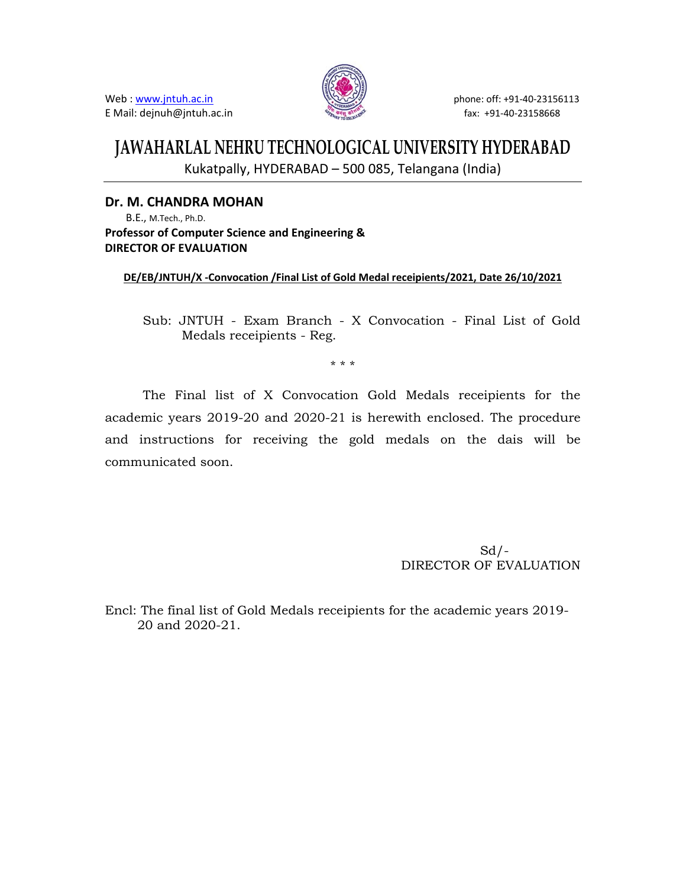

# **JAWAHARLAL NEHRU TECHNOLOGICAL UNIVERSITY HYDERABAD**

Kukatpally, HYDERABAD – 500 085, Telangana (India)

## **Dr. M. CHANDRA MOHAN**

 B.E., M.Tech., Ph.D. **Professor of Computer Science and Engineering & DIRECTOR OF EVALUATION**

### **DE/EB/JNTUH/X ‐Convocation /Final List of Gold Medal receipients/2021, Date 26/10/2021**

Sub: JNTUH - Exam Branch - X Convocation - Final List of Gold Medals receipients - Reg.

\* \* \*

The Final list of X Convocation Gold Medals receipients for the academic years 2019-20 and 2020-21 is herewith enclosed. The procedure and instructions for receiving the gold medals on the dais will be communicated soon.

> $Sd$  /-DIRECTOR OF EVALUATION

Encl: The final list of Gold Medals receipients for the academic years 2019- 20 and 2020-21.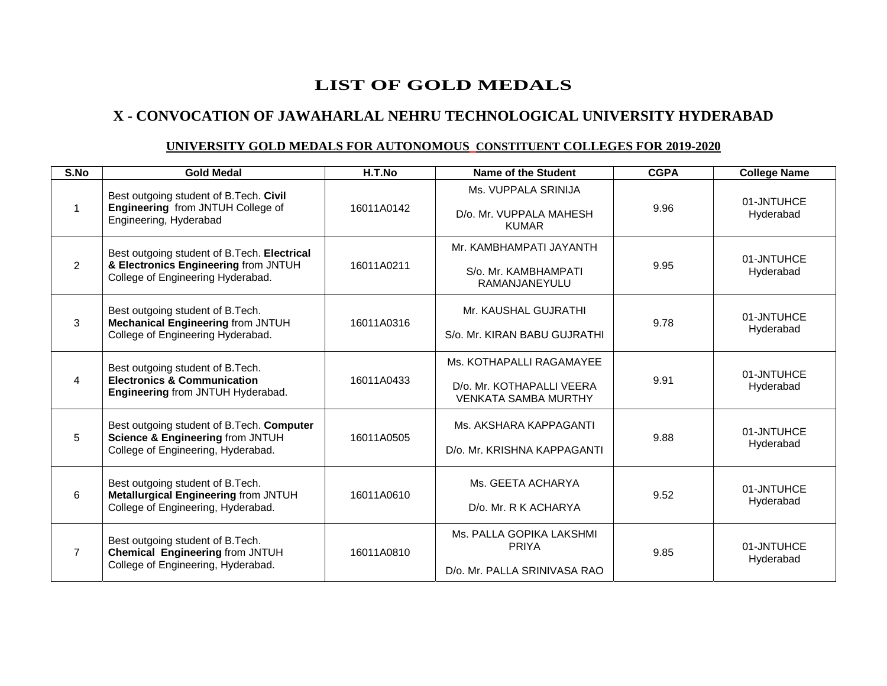## **LIST OF GOLD MEDALS**

## **X - CONVOCATION OF JAWAHARLAL NEHRU TECHNOLOGICAL UNIVERSITY HYDERABAD**

#### **UNIVERSITY GOLD MEDALS FOR AUTONOMOUS CONSTITUENT COLLEGES FOR 2019-2020**

| S.No           | <b>Gold Medal</b>                                                                                                        | H.T.No     | <b>Name of the Student</b>                                                           | <b>CGPA</b> | <b>College Name</b>     |
|----------------|--------------------------------------------------------------------------------------------------------------------------|------------|--------------------------------------------------------------------------------------|-------------|-------------------------|
|                | Best outgoing student of B.Tech. Civil<br>Engineering from JNTUH College of<br>Engineering, Hyderabad                    | 16011A0142 | Ms. VUPPALA SRINIJA<br>D/o. Mr. VUPPALA MAHESH<br><b>KUMAR</b>                       | 9.96        | 01-JNTUHCE<br>Hyderabad |
| $\overline{2}$ | Best outgoing student of B.Tech. Electrical<br>& Electronics Engineering from JNTUH<br>College of Engineering Hyderabad. | 16011A0211 | Mr. KAMBHAMPATI JAYANTH<br>S/o. Mr. KAMBHAMPATI<br>RAMANJANEYULU                     | 9.95        | 01-JNTUHCE<br>Hyderabad |
| 3              | Best outgoing student of B. Tech.<br><b>Mechanical Engineering from JNTUH</b><br>College of Engineering Hyderabad.       | 16011A0316 | Mr. KAUSHAL GUJRATHI<br>S/o. Mr. KIRAN BABU GUJRATHI                                 | 9.78        | 01-JNTUHCE<br>Hyderabad |
| 4              | Best outgoing student of B.Tech.<br><b>Electronics &amp; Communication</b><br>Engineering from JNTUH Hyderabad.          | 16011A0433 | Ms. KOTHAPALLI RAGAMAYEE<br>D/o. Mr. KOTHAPALLI VEERA<br><b>VENKATA SAMBA MURTHY</b> | 9.91        | 01-JNTUHCE<br>Hyderabad |
| 5              | Best outgoing student of B. Tech. Computer<br>Science & Engineering from JNTUH<br>College of Engineering, Hyderabad.     | 16011A0505 | Ms. AKSHARA KAPPAGANTI<br>D/o. Mr. KRISHNA KAPPAGANTI                                | 9.88        | 01-JNTUHCE<br>Hyderabad |
| 6              | Best outgoing student of B.Tech.<br><b>Metallurgical Engineering from JNTUH</b><br>College of Engineering, Hyderabad.    | 16011A0610 | Ms. GEETA ACHARYA<br>D/o. Mr. R K ACHARYA                                            | 9.52        | 01-JNTUHCE<br>Hyderabad |
| $\overline{7}$ | Best outgoing student of B.Tech.<br>Chemical Engineering from JNTUH<br>College of Engineering, Hyderabad.                | 16011A0810 | Ms. PALLA GOPIKA LAKSHMI<br><b>PRIYA</b><br>D/o. Mr. PALLA SRINIVASA RAO             | 9.85        | 01-JNTUHCE<br>Hyderabad |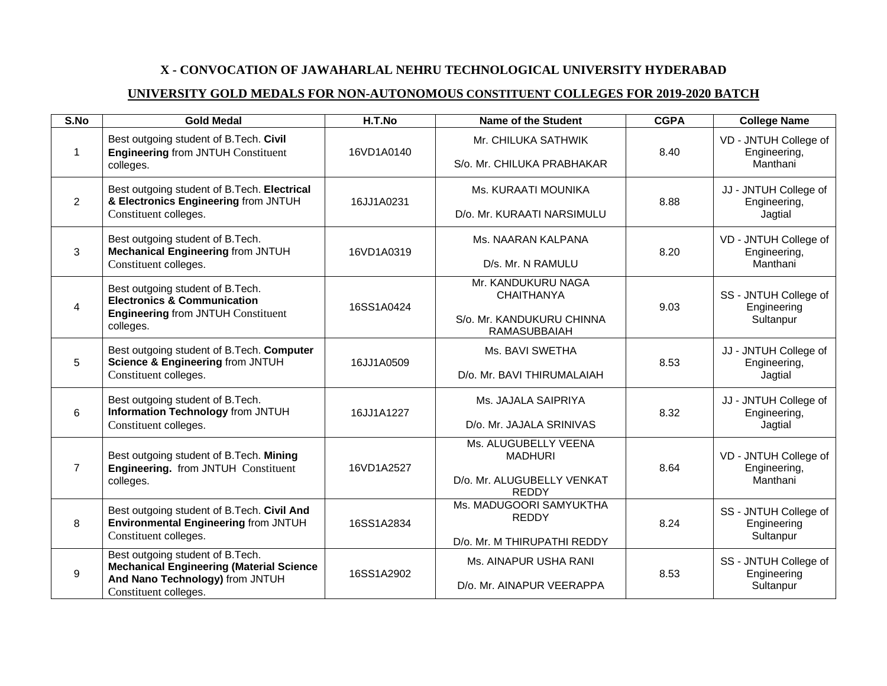#### **UNIVERSITY GOLD MEDALS FOR NON-AUTONOMOUS CONSTITUENT COLLEGES FOR 2019-2020 BATCH**

| S.No           | <b>Gold Medal</b>                                                                                                                               | H.T.No     | <b>Name of the Student</b>                                                                  | <b>CGPA</b> | <b>College Name</b>                               |
|----------------|-------------------------------------------------------------------------------------------------------------------------------------------------|------------|---------------------------------------------------------------------------------------------|-------------|---------------------------------------------------|
| $\mathbf 1$    | Best outgoing student of B.Tech. Civil<br><b>Engineering from JNTUH Constituent</b><br>colleges.                                                | 16VD1A0140 | Mr. CHILUKA SATHWIK<br>S/o. Mr. CHILUKA PRABHAKAR                                           | 8.40        | VD - JNTUH College of<br>Engineering,<br>Manthani |
| 2              | Best outgoing student of B.Tech. Electrical<br>& Electronics Engineering from JNTUH<br>Constituent colleges.                                    | 16JJ1A0231 | Ms. KURAATI MOUNIKA<br>D/o. Mr. KURAATI NARSIMULU                                           | 8.88        | JJ - JNTUH College of<br>Engineering,<br>Jagtial  |
| 3              | Best outgoing student of B.Tech.<br><b>Mechanical Engineering from JNTUH</b><br>Constituent colleges.                                           | 16VD1A0319 | Ms. NAARAN KALPANA<br>D/s. Mr. N RAMULU                                                     | 8.20        | VD - JNTUH College of<br>Engineering,<br>Manthani |
| 4              | Best outgoing student of B.Tech.<br><b>Electronics &amp; Communication</b><br><b>Engineering from JNTUH Constituent</b><br>colleges.            | 16SS1A0424 | Mr. KANDUKURU NAGA<br><b>CHAITHANYA</b><br>S/o. Mr. KANDUKURU CHINNA<br><b>RAMASUBBAIAH</b> | 9.03        | SS - JNTUH College of<br>Engineering<br>Sultanpur |
| 5              | Best outgoing student of B.Tech. Computer<br>Science & Engineering from JNTUH<br>Constituent colleges.                                          | 16JJ1A0509 | Ms. BAVI SWETHA<br>D/o. Mr. BAVI THIRUMALAIAH                                               | 8.53        | JJ - JNTUH College of<br>Engineering,<br>Jagtial  |
| 6              | Best outgoing student of B.Tech.<br>Information Technology from JNTUH<br>Constituent colleges.                                                  | 16JJ1A1227 | Ms. JAJALA SAIPRIYA<br>D/o. Mr. JAJALA SRINIVAS                                             | 8.32        | JJ - JNTUH College of<br>Engineering,<br>Jagtial  |
| $\overline{7}$ | Best outgoing student of B.Tech. Mining<br>Engineering. from JNTUH Constituent<br>colleges.                                                     | 16VD1A2527 | Ms. ALUGUBELLY VEENA<br><b>MADHURI</b><br>D/o. Mr. ALUGUBELLY VENKAT<br><b>REDDY</b>        | 8.64        | VD - JNTUH College of<br>Engineering,<br>Manthani |
| 8              | Best outgoing student of B.Tech. Civil And<br>Environmental Engineering from JNTUH<br>Constituent colleges.                                     | 16SS1A2834 | Ms. MADUGOORI SAMYUKTHA<br><b>REDDY</b><br>D/o. Mr. M THIRUPATHI REDDY                      | 8.24        | SS - JNTUH College of<br>Engineering<br>Sultanpur |
| 9              | Best outgoing student of B.Tech.<br><b>Mechanical Engineering (Material Science</b><br>And Nano Technology) from JNTUH<br>Constituent colleges. | 16SS1A2902 | Ms. AINAPUR USHA RANI<br>D/o. Mr. AINAPUR VEERAPPA                                          | 8.53        | SS - JNTUH College of<br>Engineering<br>Sultanpur |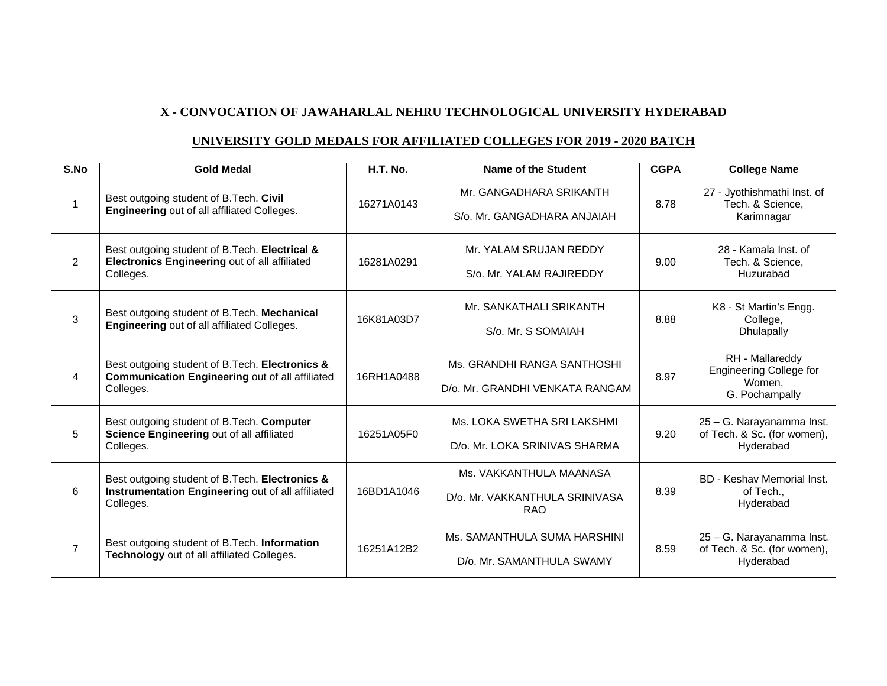#### **UNIVERSITY GOLD MEDALS FOR AFFILIATED COLLEGES FOR 2019 - 2020 BATCH**

| S.No           | <b>Gold Medal</b>                                                                                                     | <b>H.T. No.</b> | <b>Name of the Student</b>                                       | <b>CGPA</b> | <b>College Name</b>                                                           |
|----------------|-----------------------------------------------------------------------------------------------------------------------|-----------------|------------------------------------------------------------------|-------------|-------------------------------------------------------------------------------|
|                | Best outgoing student of B.Tech. Civil<br>Engineering out of all affiliated Colleges.                                 | 16271A0143      | Mr. GANGADHARA SRIKANTH<br>S/o. Mr. GANGADHARA ANJAIAH           | 8.78        | 27 - Jyothishmathi Inst. of<br>Tech. & Science,<br>Karimnagar                 |
| $\overline{2}$ | Best outgoing student of B.Tech. Electrical &<br>Electronics Engineering out of all affiliated<br>Colleges.           | 16281A0291      | Mr. YALAM SRUJAN REDDY<br>S/o. Mr. YALAM RAJIREDDY               | 9.00        | 28 - Kamala Inst. of<br>Tech. & Science,<br>Huzurabad                         |
| 3              | Best outgoing student of B.Tech. Mechanical<br><b>Engineering out of all affiliated Colleges.</b>                     | 16K81A03D7      | Mr. SANKATHALI SRIKANTH<br>S/o. Mr. S SOMAIAH                    | 8.88        | K8 - St Martin's Engg.<br>College,<br><b>Dhulapally</b>                       |
| 4              | Best outgoing student of B.Tech. Electronics &<br><b>Communication Engineering out of all affiliated</b><br>Colleges. | 16RH1A0488      | Ms. GRANDHI RANGA SANTHOSHI<br>D/o. Mr. GRANDHI VENKATA RANGAM   | 8.97        | RH - Mallareddy<br><b>Engineering College for</b><br>Women,<br>G. Pochampally |
| 5              | Best outgoing student of B.Tech. Computer<br>Science Engineering out of all affiliated<br>Colleges.                   | 16251A05F0      | Ms. LOKA SWETHA SRI LAKSHMI<br>D/o. Mr. LOKA SRINIVAS SHARMA     | 9.20        | 25 - G. Narayanamma Inst.<br>of Tech. & Sc. (for women),<br>Hyderabad         |
| 6              | Best outgoing student of B.Tech. Electronics &<br>Instrumentation Engineering out of all affiliated<br>Colleges.      | 16BD1A1046      | Ms. VAKKANTHULA MAANASA<br>D/o. Mr. VAKKANTHULA SRINIVASA<br>RAO | 8.39        | BD - Keshav Memorial Inst.<br>of Tech<br>Hyderabad                            |
| $\overline{7}$ | Best outgoing student of B. Tech. Information<br>Technology out of all affiliated Colleges.                           | 16251A12B2      | Ms. SAMANTHULA SUMA HARSHINI<br>D/o. Mr. SAMANTHULA SWAMY        | 8.59        | 25 - G. Narayanamma Inst.<br>of Tech. & Sc. (for women),<br>Hyderabad         |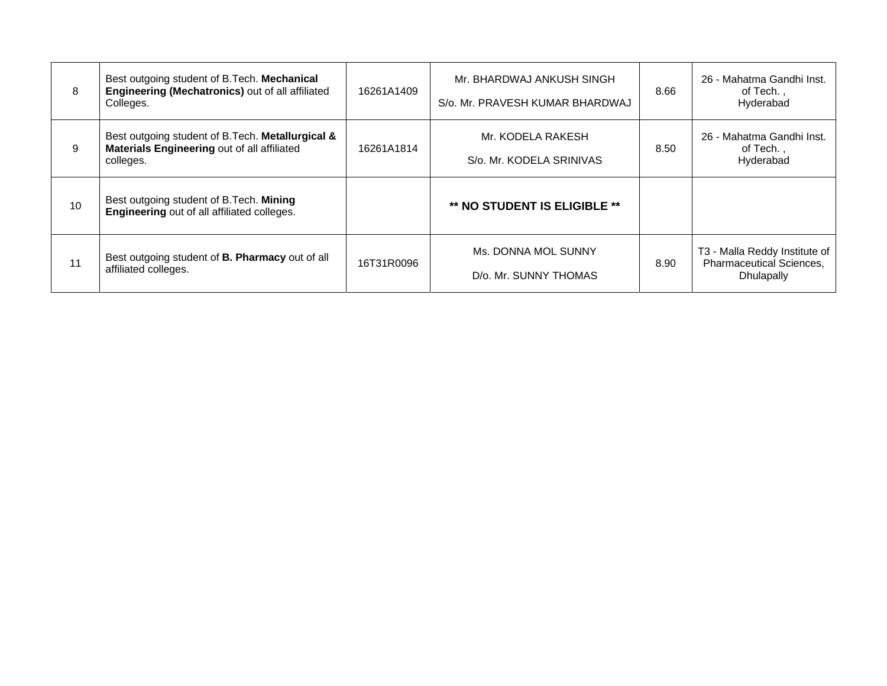| 8  | Best outgoing student of B.Tech. Mechanical<br>Engineering (Mechatronics) out of all affiliated<br>Colleges. | 16261A1409 | Mr. BHARDWAJ ANKUSH SINGH<br>S/o. Mr. PRAVESH KUMAR BHARDWAJ | 8.66 | 26 - Mahatma Gandhi Inst.<br>of Tech.,<br>Hyderabad |
|----|--------------------------------------------------------------------------------------------------------------|------------|--------------------------------------------------------------|------|-----------------------------------------------------|
| 9  | Best outgoing student of B.Tech. Metallurgical &<br>Materials Engineering out of all affiliated<br>colleges. | 16261A1814 | Mr. KODELA RAKESH<br>S/o. Mr. KODELA SRINIVAS                | 8.50 | 26 - Mahatma Gandhi Inst.<br>of Tech.,<br>Hyderabad |
| 10 | Best outgoing student of B.Tech. Mining<br>Engineering out of all affiliated colleges.                       |            | <b>** NO STUDENT IS ELIGIBLE **</b>                          |      |                                                     |
|    |                                                                                                              |            |                                                              |      |                                                     |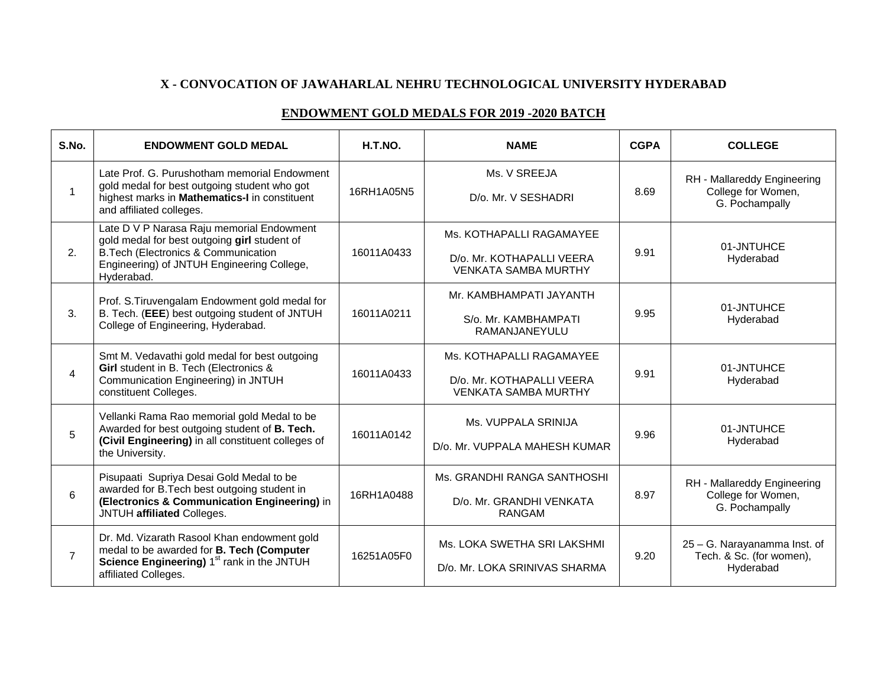#### S.No. | ENDOWMENT GOLD MEDAL | H.T.NO. | NAME | CGPA | COLLEGE 1 Late Prof. G. Purushotham memorial Endowment gold medal for best outgoing student who got highest marks in **Mathematics-I** in constituent and affiliated colleges. 16RH1A05N5 Ms. V SREEJA  $D$ /o. Mr. V SESHADRI  $\begin{bmatrix} 8.69 \end{bmatrix}$ RH - Mallareddy Engineering College for Women, G. Pochampally 2. Late D V P Narasa Raju memorial Endowment gold medal for best outgoing **girl** student of B.Tech (Electronics & Communication Engineering) of JNTUH Engineering College, Hyderabad. 16011A0433 Ms. KOTHAPALLI RAGAMAYEE D/o. Mr. KOTHAPALLI VEERA VENKATA SAMBA MURTHY 9.91 01-JNTUHCE<br>Hyderabad 3. Prof. S.Tiruvengalam Endowment gold medal for B. Tech. (**EEE**) best outgoing student of JNTUH College of Engineering, Hyderabad. 16011A0211 Mr. KAMBHAMPATI JAYANTH S/o. Mr. KAMBHAMPATI RAMANJANEYULU 9.95 01-JNTUHCE<br>Hyderabad 4 Smt M. Vedavathi gold medal for best outgoing **Girl** student in B. Tech (Electronics & Communication Engineering) in JNTUH constituent Colleges. 16011A0433 Ms. KOTHAPALLI RAGAMAYEE D/o. Mr. KOTHAPALLI VEERA VENKATA SAMBA MURTHY 9.91 01-JNTUHCE<br>Hyderabad 5 Vellanki Rama Rao memorial gold Medal to be Awarded for best outgoing student of **B. Tech. (Civil Engineering)** in all constituent colleges of the University. 16011A0142 Ms. VUPPALA SRINIJA D/o. Mr. VUPPALA MAHESH KUMAR 9.96 01-JNTUHCE<br>Hyderabad 6 Pisupaati Supriya Desai Gold Medal to be awarded for B.Tech best outgoing student in **(Electronics & Communication Engineering)** in JNTUH **affiliated** Colleges. 16RH1A0488 Ms. GRANDHI RANGA SANTHOSHI D/o. Mr. GRANDHI VENKATA RANGAM 8.97 RH - Mallareddy Engineering College for Women, G. Pochampally 7 Dr. Md. Vizarath Rasool Khan endowment gold medal to be awarded for **B. Tech (Computer Science Engineering)** 1<sup>st</sup> rank in the JNTUH affiliated Colleges. 16251A05F0 Ms. LOKA SWETHA SRI LAKSHMI D/o. Mr. LOKA SRINIVAS SHARMA 9.20 25 – G. Narayanamma Inst. of Tech. & Sc. (for women), Hyderabad

#### **ENDOWMENT GOLD MEDALS FOR 2019 -2020 BATCH**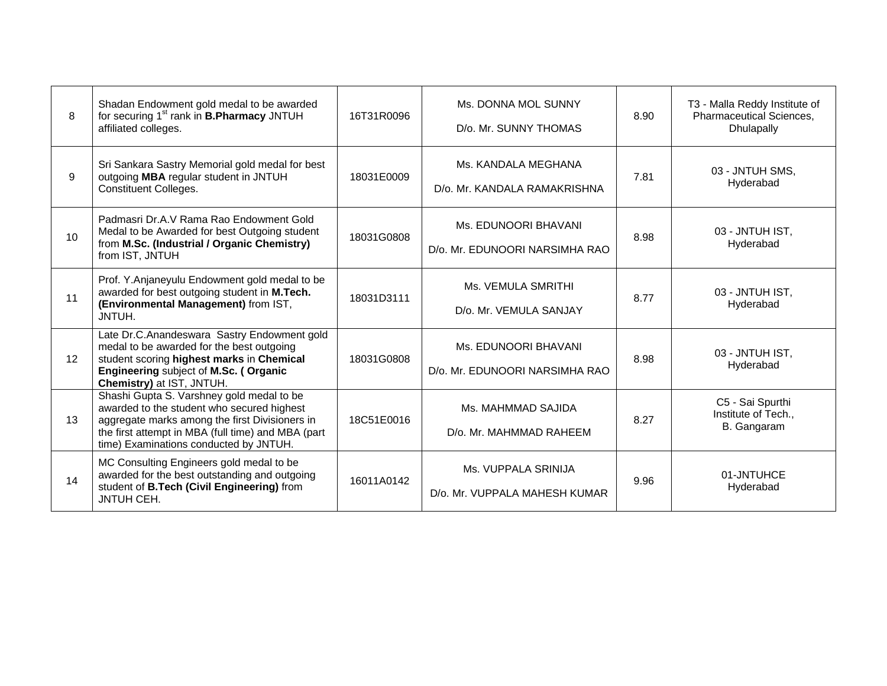| 8               | Shadan Endowment gold medal to be awarded<br>for securing 1 <sup>st</sup> rank in <b>B.Pharmacy</b> JNTUH<br>affiliated colleges.                                                                                                         | 16T31R0096 | Ms. DONNA MOL SUNNY<br>D/o. Mr. SUNNY THOMAS           | 8.90 | T3 - Malla Reddy Institute of<br>Pharmaceutical Sciences,<br>Dhulapally |
|-----------------|-------------------------------------------------------------------------------------------------------------------------------------------------------------------------------------------------------------------------------------------|------------|--------------------------------------------------------|------|-------------------------------------------------------------------------|
| 9               | Sri Sankara Sastry Memorial gold medal for best<br>outgoing MBA regular student in JNTUH<br><b>Constituent Colleges.</b>                                                                                                                  | 18031E0009 | Ms. KANDALA MEGHANA<br>D/o. Mr. KANDALA RAMAKRISHNA    | 7.81 | 03 - JNTUH SMS,<br>Hyderabad                                            |
| 10 <sup>1</sup> | Padmasri Dr.A.V Rama Rao Endowment Gold<br>Medal to be Awarded for best Outgoing student<br>from M.Sc. (Industrial / Organic Chemistry)<br>from IST, JNTUH                                                                                | 18031G0808 | Ms. EDUNOORI BHAVANI<br>D/o. Mr. EDUNOORI NARSIMHA RAO | 8.98 | 03 - JNTUH IST,<br>Hyderabad                                            |
| 11              | Prof. Y.Anjaneyulu Endowment gold medal to be<br>awarded for best outgoing student in M.Tech.<br>(Environmental Management) from IST,<br>JNTUH.                                                                                           | 18031D3111 | Ms. VEMULA SMRITHI<br>D/o. Mr. VEMULA SANJAY           | 8.77 | 03 - JNTUH IST,<br>Hyderabad                                            |
| 12              | Late Dr.C.Anandeswara Sastry Endowment gold<br>medal to be awarded for the best outgoing<br>student scoring highest marks in Chemical<br>Engineering subject of M.Sc. (Organic<br>Chemistry) at IST, JNTUH.                               | 18031G0808 | Ms. EDUNOORI BHAVANI<br>D/o. Mr. EDUNOORI NARSIMHA RAO | 8.98 | 03 - JNTUH IST,<br>Hyderabad                                            |
| 13              | Shashi Gupta S. Varshney gold medal to be<br>awarded to the student who secured highest<br>aggregate marks among the first Divisioners in<br>the first attempt in MBA (full time) and MBA (part<br>time) Examinations conducted by JNTUH. | 18C51E0016 | Ms. MAHMMAD SAJIDA<br>D/o. Mr. MAHMMAD RAHEEM          | 8.27 | C5 - Sai Spurthi<br>Institute of Tech.,<br>B. Gangaram                  |
| 14              | MC Consulting Engineers gold medal to be<br>awarded for the best outstanding and outgoing<br>student of B.Tech (Civil Engineering) from<br><b>JNTUH CEH.</b>                                                                              | 16011A0142 | Ms. VUPPALA SRINIJA<br>D/o. Mr. VUPPALA MAHESH KUMAR   | 9.96 | 01-JNTUHCE<br>Hyderabad                                                 |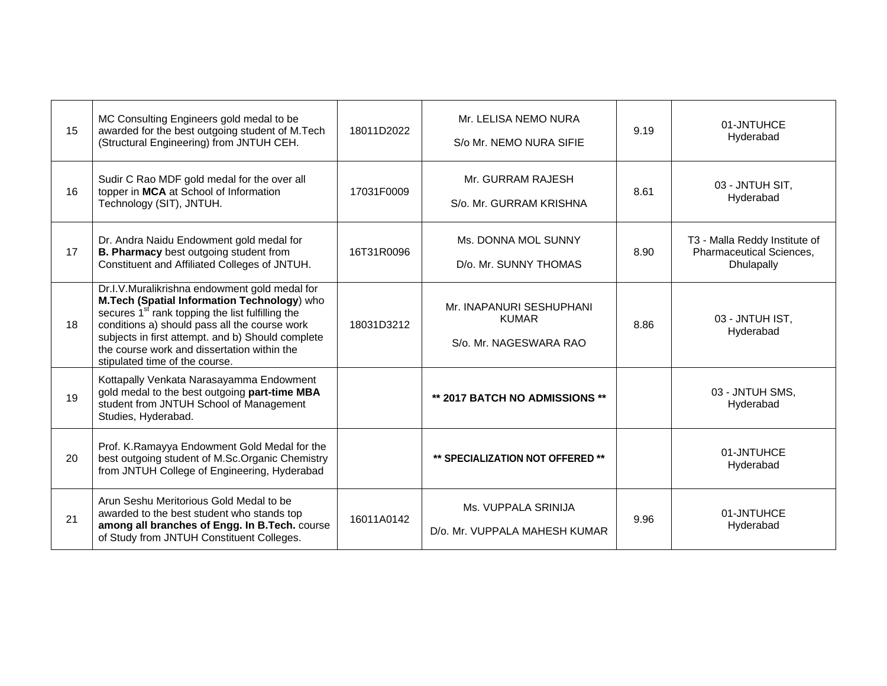| 15 | MC Consulting Engineers gold medal to be<br>awarded for the best outgoing student of M.Tech<br>(Structural Engineering) from JNTUH CEH.                                                                                                                                                                                                             | 18011D2022 | Mr. LELISA NEMO NURA<br>S/o Mr. NEMO NURA SIFIE                    | 9.19 | 01-JNTUHCE<br>Hyderabad                                                 |
|----|-----------------------------------------------------------------------------------------------------------------------------------------------------------------------------------------------------------------------------------------------------------------------------------------------------------------------------------------------------|------------|--------------------------------------------------------------------|------|-------------------------------------------------------------------------|
| 16 | Sudir C Rao MDF gold medal for the over all<br>topper in MCA at School of Information<br>Technology (SIT), JNTUH.                                                                                                                                                                                                                                   | 17031F0009 | Mr. GURRAM RAJESH<br>S/o. Mr. GURRAM KRISHNA                       | 8.61 | 03 - JNTUH SIT,<br>Hyderabad                                            |
| 17 | Dr. Andra Naidu Endowment gold medal for<br>B. Pharmacy best outgoing student from<br>Constituent and Affiliated Colleges of JNTUH.                                                                                                                                                                                                                 | 16T31R0096 | Ms. DONNA MOL SUNNY<br>D/o. Mr. SUNNY THOMAS                       | 8.90 | T3 - Malla Reddy Institute of<br>Pharmaceutical Sciences,<br>Dhulapally |
| 18 | Dr.I.V.Muralikrishna endowment gold medal for<br>M.Tech (Spatial Information Technology) who<br>secures 1 <sup>st</sup> rank topping the list fulfilling the<br>conditions a) should pass all the course work<br>subjects in first attempt. and b) Should complete<br>the course work and dissertation within the<br>stipulated time of the course. | 18031D3212 | Mr. INAPANURI SESHUPHANI<br><b>KUMAR</b><br>S/o. Mr. NAGESWARA RAO | 8.86 | 03 - JNTUH IST,<br>Hyderabad                                            |
| 19 | Kottapally Venkata Narasayamma Endowment<br>gold medal to the best outgoing part-time MBA<br>student from JNTUH School of Management<br>Studies, Hyderabad.                                                                                                                                                                                         |            | ** 2017 BATCH NO ADMISSIONS **                                     |      | 03 - JNTUH SMS,<br>Hyderabad                                            |
| 20 | Prof. K.Ramayya Endowment Gold Medal for the<br>best outgoing student of M.Sc.Organic Chemistry<br>from JNTUH College of Engineering, Hyderabad                                                                                                                                                                                                     |            | ** SPECIALIZATION NOT OFFERED **                                   |      | 01-JNTUHCE<br>Hyderabad                                                 |
| 21 | Arun Seshu Meritorious Gold Medal to be<br>awarded to the best student who stands top<br>among all branches of Engg. In B.Tech. course<br>of Study from JNTUH Constituent Colleges.                                                                                                                                                                 | 16011A0142 | Ms. VUPPALA SRINIJA<br>D/o. Mr. VUPPALA MAHESH KUMAR               | 9.96 | 01-JNTUHCE<br>Hyderabad                                                 |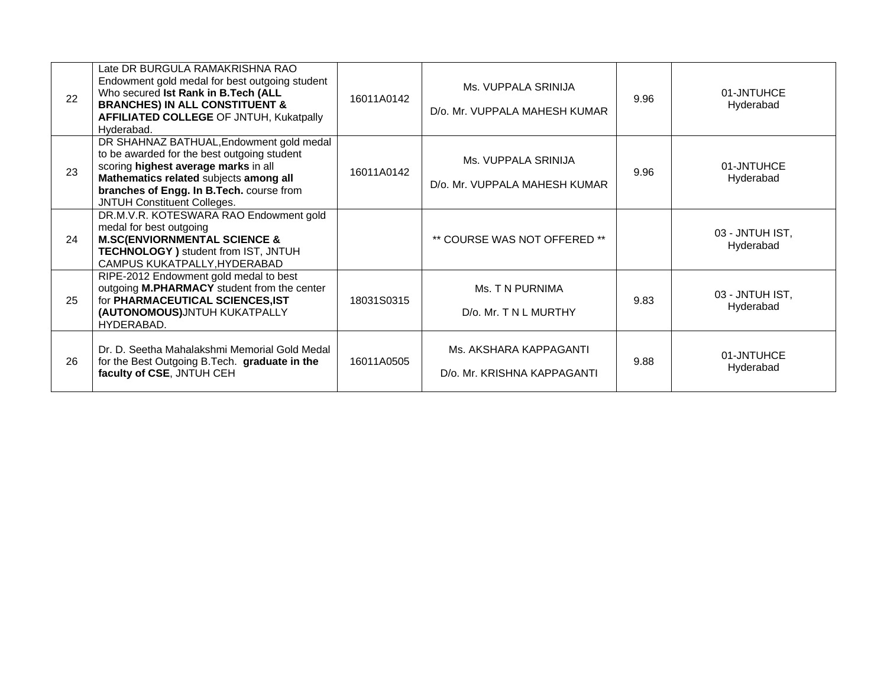| 22 | Late DR BURGULA RAMAKRISHNA RAO<br>Endowment gold medal for best outgoing student<br>Who secured Ist Rank in B.Tech (ALL<br><b>BRANCHES) IN ALL CONSTITUENT &amp;</b><br><b>AFFILIATED COLLEGE OF JNTUH, Kukatpally</b><br>Hyderabad.                       | 16011A0142 | Ms. VUPPALA SRINIJA<br>D/o. Mr. VUPPALA MAHESH KUMAR  | 9.96 | 01-JNTUHCE<br>Hyderabad      |
|----|-------------------------------------------------------------------------------------------------------------------------------------------------------------------------------------------------------------------------------------------------------------|------------|-------------------------------------------------------|------|------------------------------|
| 23 | DR SHAHNAZ BATHUAL, Endowment gold medal<br>to be awarded for the best outgoing student<br>scoring highest average marks in all<br>Mathematics related subjects among all<br>branches of Engg. In B.Tech. course from<br><b>JNTUH Constituent Colleges.</b> | 16011A0142 | Ms. VUPPALA SRINIJA<br>D/o. Mr. VUPPALA MAHESH KUMAR  | 9.96 | 01-JNTUHCE<br>Hyderabad      |
| 24 | DR.M.V.R. KOTESWARA RAO Endowment gold<br>medal for best outgoing<br><b>M.SC(ENVIORNMENTAL SCIENCE &amp;</b><br>TECHNOLOGY ) student from IST, JNTUH<br>CAMPUS KUKATPALLY, HYDERABAD                                                                        |            | ** COURSE WAS NOT OFFERED **                          |      | 03 - JNTUH IST,<br>Hyderabad |
| 25 | RIPE-2012 Endowment gold medal to best<br>outgoing M.PHARMACY student from the center<br>for PHARMACEUTICAL SCIENCES, IST<br>(AUTONOMOUS)JNTUH KUKATPALLY<br>HYDERABAD.                                                                                     | 18031S0315 | Ms. T N PURNIMA<br>D/o. Mr. T N L MURTHY              | 9.83 | 03 - JNTUH IST,<br>Hyderabad |
| 26 | Dr. D. Seetha Mahalakshmi Memorial Gold Medal<br>for the Best Outgoing B. Tech. graduate in the<br>faculty of CSE, JNTUH CEH                                                                                                                                | 16011A0505 | Ms. AKSHARA KAPPAGANTI<br>D/o. Mr. KRISHNA KAPPAGANTI | 9.88 | 01-JNTUHCE<br>Hyderabad      |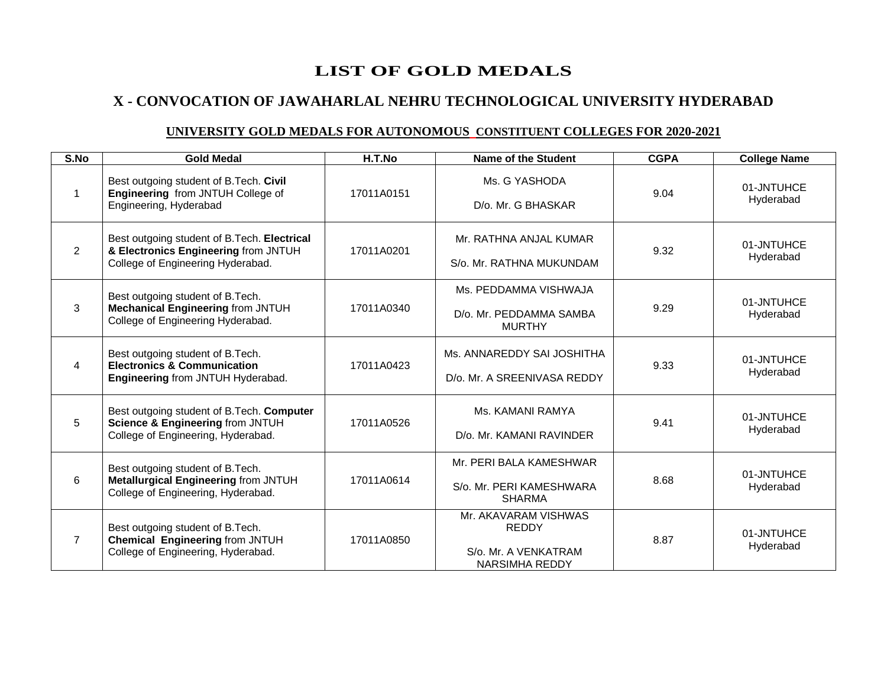## **LIST OF GOLD MEDALS**

## **X - CONVOCATION OF JAWAHARLAL NEHRU TECHNOLOGICAL UNIVERSITY HYDERABAD**

### **UNIVERSITY GOLD MEDALS FOR AUTONOMOUS CONSTITUENT COLLEGES FOR 2020-2021**

| S.No           | <b>Gold Medal</b>                                                                                                        | H.T.No     | <b>Name of the Student</b>                                                            | <b>CGPA</b> | <b>College Name</b>     |
|----------------|--------------------------------------------------------------------------------------------------------------------------|------------|---------------------------------------------------------------------------------------|-------------|-------------------------|
| $\mathbf 1$    | Best outgoing student of B.Tech. Civil<br>Engineering from JNTUH College of<br>Engineering, Hyderabad                    | 17011A0151 | Ms. G YASHODA<br>D/o. Mr. G BHASKAR                                                   | 9.04        | 01-JNTUHCE<br>Hyderabad |
| $\overline{2}$ | Best outgoing student of B.Tech. Electrical<br>& Electronics Engineering from JNTUH<br>College of Engineering Hyderabad. | 17011A0201 | Mr. RATHNA ANJAL KUMAR<br>S/o. Mr. RATHNA MUKUNDAM                                    | 9.32        | 01-JNTUHCE<br>Hyderabad |
| 3              | Best outgoing student of B.Tech.<br><b>Mechanical Engineering from JNTUH</b><br>College of Engineering Hyderabad.        | 17011A0340 | Ms. PEDDAMMA VISHWAJA<br>D/o. Mr. PEDDAMMA SAMBA<br><b>MURTHY</b>                     | 9.29        | 01-JNTUHCE<br>Hyderabad |
| 4              | Best outgoing student of B.Tech.<br><b>Electronics &amp; Communication</b><br>Engineering from JNTUH Hyderabad.          | 17011A0423 | Ms. ANNAREDDY SAI JOSHITHA<br>D/o. Mr. A SREENIVASA REDDY                             | 9.33        | 01-JNTUHCE<br>Hyderabad |
| 5              | Best outgoing student of B. Tech. Computer<br>Science & Engineering from JNTUH<br>College of Engineering, Hyderabad.     | 17011A0526 | Ms. KAMANI RAMYA<br>D/o. Mr. KAMANI RAVINDER                                          | 9.41        | 01-JNTUHCE<br>Hyderabad |
| 6              | Best outgoing student of B.Tech.<br>Metallurgical Engineering from JNTUH<br>College of Engineering, Hyderabad.           | 17011A0614 | Mr. PERI BALA KAMESHWAR<br>S/o. Mr. PERI KAMESHWARA<br><b>SHARMA</b>                  | 8.68        | 01-JNTUHCE<br>Hyderabad |
| $\overline{7}$ | Best outgoing student of B.Tech.<br><b>Chemical Engineering from JNTUH</b><br>College of Engineering, Hyderabad.         | 17011A0850 | Mr. AKAVARAM VISHWAS<br><b>REDDY</b><br>S/o. Mr. A VENKATRAM<br><b>NARSIMHA REDDY</b> | 8.87        | 01-JNTUHCE<br>Hyderabad |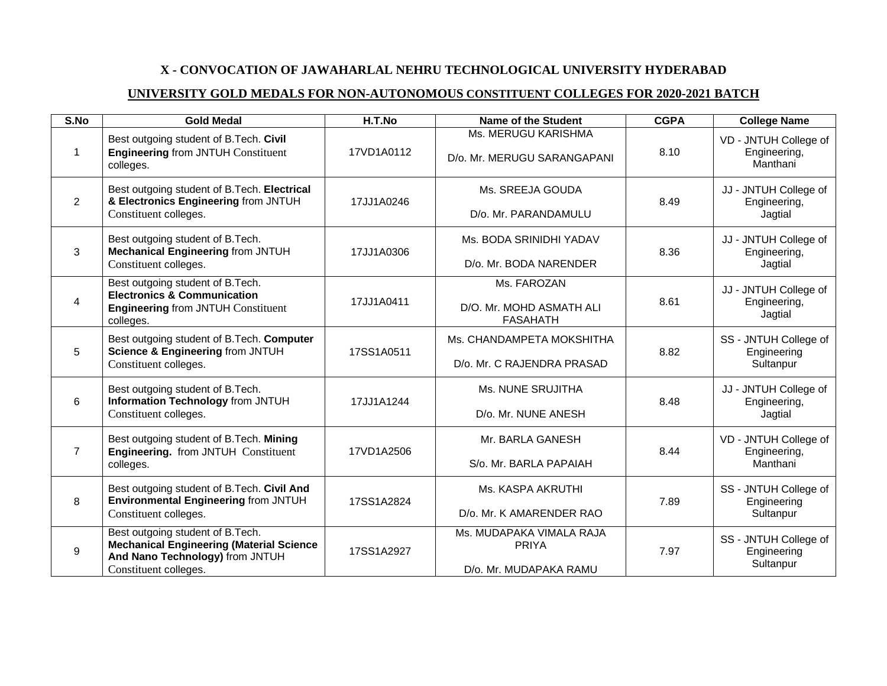#### **UNIVERSITY GOLD MEDALS FOR NON-AUTONOMOUS CONSTITUENT COLLEGES FOR 2020-2021 BATCH**

| S.No           | <b>Gold Medal</b>                                                                                                                               | H.T.No     | Name of the Student                                                | <b>CGPA</b> | <b>College Name</b>                               |
|----------------|-------------------------------------------------------------------------------------------------------------------------------------------------|------------|--------------------------------------------------------------------|-------------|---------------------------------------------------|
| $\mathbf{1}$   | Best outgoing student of B.Tech. Civil<br><b>Engineering from JNTUH Constituent</b><br>colleges.                                                | 17VD1A0112 | Ms. MERUGU KARISHMA<br>D/o. Mr. MERUGU SARANGAPANI                 | 8.10        | VD - JNTUH College of<br>Engineering,<br>Manthani |
| $\overline{2}$ | Best outgoing student of B.Tech. Electrical<br>& Electronics Engineering from JNTUH<br>Constituent colleges.                                    | 17JJ1A0246 | Ms. SREEJA GOUDA<br>D/o. Mr. PARANDAMULU                           | 8.49        | JJ - JNTUH College of<br>Engineering,<br>Jagtial  |
| 3              | Best outgoing student of B.Tech.<br><b>Mechanical Engineering from JNTUH</b><br>Constituent colleges.                                           | 17JJ1A0306 | Ms. BODA SRINIDHI YADAV<br>D/o. Mr. BODA NARENDER                  | 8.36        | JJ - JNTUH College of<br>Engineering,<br>Jagtial  |
| 4              | Best outgoing student of B.Tech.<br><b>Electronics &amp; Communication</b><br><b>Engineering from JNTUH Constituent</b><br>colleges.            | 17JJ1A0411 | Ms. FAROZAN<br>D/O. Mr. MOHD ASMATH ALI<br><b>FASAHATH</b>         | 8.61        | JJ - JNTUH College of<br>Engineering,<br>Jagtial  |
| 5              | Best outgoing student of B.Tech. Computer<br>Science & Engineering from JNTUH<br>Constituent colleges.                                          | 17SS1A0511 | Ms. CHANDAMPETA MOKSHITHA<br>D/o. Mr. C RAJENDRA PRASAD            | 8.82        | SS - JNTUH College of<br>Engineering<br>Sultanpur |
| 6              | Best outgoing student of B.Tech.<br>Information Technology from JNTUH<br>Constituent colleges.                                                  | 17JJ1A1244 | Ms. NUNE SRUJITHA<br>D/o. Mr. NUNE ANESH                           | 8.48        | JJ - JNTUH College of<br>Engineering,<br>Jagtial  |
| $\overline{7}$ | Best outgoing student of B. Tech. Mining<br>Engineering. from JNTUH Constituent<br>colleges.                                                    | 17VD1A2506 | Mr. BARLA GANESH<br>S/o. Mr. BARLA PAPAIAH                         | 8.44        | VD - JNTUH College of<br>Engineering,<br>Manthani |
| 8              | Best outgoing student of B.Tech. Civil And<br>Environmental Engineering from JNTUH<br>Constituent colleges.                                     | 17SS1A2824 | Ms. KASPA AKRUTHI<br>D/o. Mr. K AMARENDER RAO                      | 7.89        | SS - JNTUH College of<br>Engineering<br>Sultanpur |
| 9              | Best outgoing student of B.Tech.<br><b>Mechanical Engineering (Material Science</b><br>And Nano Technology) from JNTUH<br>Constituent colleges. | 17SS1A2927 | Ms. MUDAPAKA VIMALA RAJA<br><b>PRIYA</b><br>D/o. Mr. MUDAPAKA RAMU | 7.97        | SS - JNTUH College of<br>Engineering<br>Sultanpur |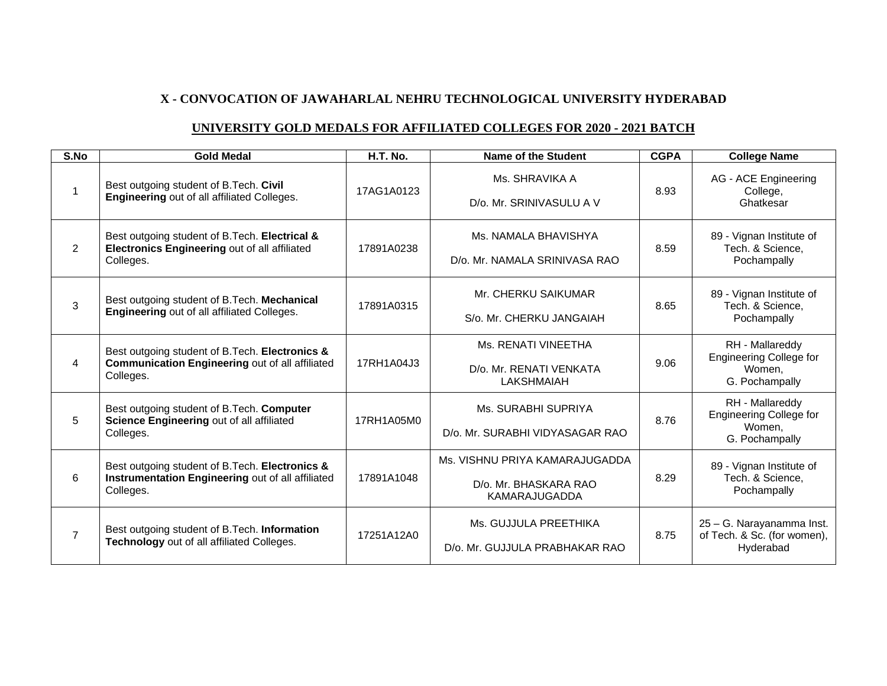#### **UNIVERSITY GOLD MEDALS FOR AFFILIATED COLLEGES FOR 2020 - 2021 BATCH**

| S.No           | <b>Gold Medal</b>                                                                                                     | H.T. No.   | <b>Name of the Student</b>                                               | <b>CGPA</b> | <b>College Name</b>                                                           |
|----------------|-----------------------------------------------------------------------------------------------------------------------|------------|--------------------------------------------------------------------------|-------------|-------------------------------------------------------------------------------|
| 1              | Best outgoing student of B.Tech. Civil<br>Engineering out of all affiliated Colleges.                                 | 17AG1A0123 | Ms. SHRAVIKA A<br>D/o. Mr. SRINIVASULU A V                               | 8.93        | AG - ACE Engineering<br>College,<br>Ghatkesar                                 |
| 2              | Best outgoing student of B.Tech. Electrical &<br>Electronics Engineering out of all affiliated<br>Colleges.           | 17891A0238 | Ms. NAMALA BHAVISHYA<br>D/o. Mr. NAMALA SRINIVASA RAO                    | 8.59        | 89 - Vignan Institute of<br>Tech. & Science,<br>Pochampally                   |
| 3              | Best outgoing student of B.Tech. Mechanical<br>Engineering out of all affiliated Colleges.                            | 17891A0315 | Mr. CHERKU SAIKUMAR<br>S/o. Mr. CHERKU JANGAIAH                          | 8.65        | 89 - Vignan Institute of<br>Tech. & Science,<br>Pochampally                   |
| 4              | Best outgoing student of B.Tech. Electronics &<br><b>Communication Engineering out of all affiliated</b><br>Colleges. | 17RH1A04J3 | Ms. RENATI VINEETHA<br>D/o. Mr. RENATI VENKATA<br><b>LAKSHMAIAH</b>      | 9.06        | RH - Mallareddy<br>Engineering College for<br>Women,<br>G. Pochampally        |
| 5              | Best outgoing student of B.Tech. Computer<br>Science Engineering out of all affiliated<br>Colleges.                   | 17RH1A05M0 | Ms. SURABHI SUPRIYA<br>D/o. Mr. SURABHI VIDYASAGAR RAO                   | 8.76        | RH - Mallareddy<br><b>Engineering College for</b><br>Women,<br>G. Pochampally |
| 6              | Best outgoing student of B.Tech. Electronics &<br>Instrumentation Engineering out of all affiliated<br>Colleges.      | 17891A1048 | Ms. VISHNU PRIYA KAMARAJUGADDA<br>D/o. Mr. BHASKARA RAO<br>KAMARAJUGADDA | 8.29        | 89 - Vignan Institute of<br>Tech. & Science,<br>Pochampally                   |
| $\overline{7}$ | Best outgoing student of B. Tech. Information<br>Technology out of all affiliated Colleges.                           | 17251A12A0 | Ms. GUJJULA PREETHIKA<br>D/o. Mr. GUJJULA PRABHAKAR RAO                  | 8.75        | 25 - G. Narayanamma Inst.<br>of Tech. & Sc. (for women),<br>Hyderabad         |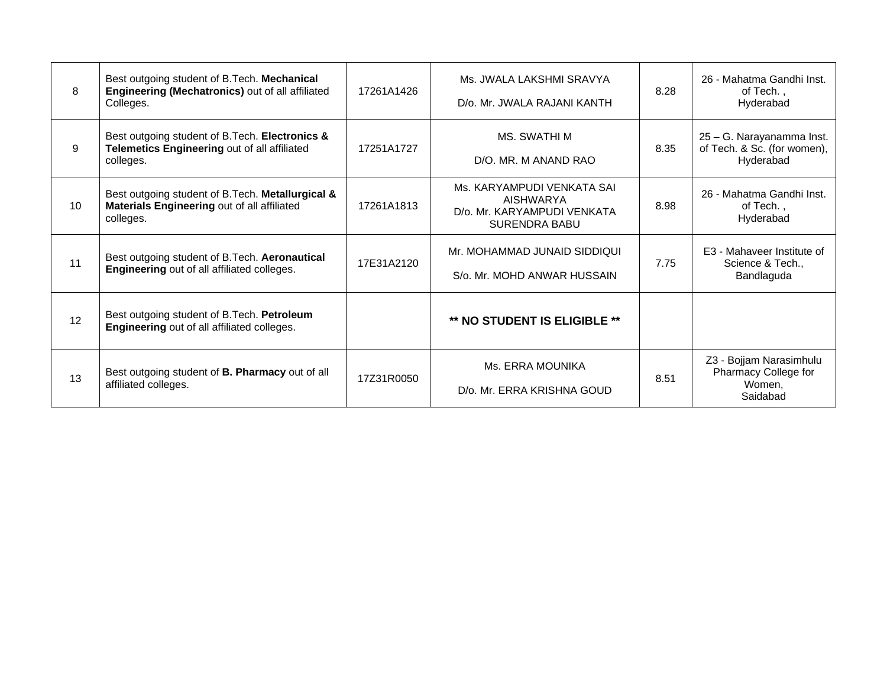| 8  | Best outgoing student of B. Tech. Mechanical<br>Engineering (Mechatronics) out of all affiliated<br>Colleges. | 17261A1426 | Ms. JWALA LAKSHMI SRAVYA<br>D/o. Mr. JWALA RAJANI KANTH                                               | 8.28 | 26 - Mahatma Gandhi Inst.<br>of Tech.,<br>Hyderabad                   |
|----|---------------------------------------------------------------------------------------------------------------|------------|-------------------------------------------------------------------------------------------------------|------|-----------------------------------------------------------------------|
| 9  | Best outgoing student of B.Tech. Electronics &<br>Telemetics Engineering out of all affiliated<br>colleges.   | 17251A1727 | <b>MS. SWATHI M</b><br>D/O. MR. M ANAND RAO                                                           | 8.35 | 25 - G. Narayanamma Inst.<br>of Tech. & Sc. (for women),<br>Hyderabad |
| 10 | Best outgoing student of B.Tech. Metallurgical &<br>Materials Engineering out of all affiliated<br>colleges.  | 17261A1813 | Ms. KARYAMPUDI VENKATA SAI<br><b>AISHWARYA</b><br>D/o. Mr. KARYAMPUDI VENKATA<br><b>SURENDRA BABU</b> | 8.98 | 26 - Mahatma Gandhi Inst.<br>of Tech.,<br>Hyderabad                   |
| 11 | Best outgoing student of B.Tech. Aeronautical<br>Engineering out of all affiliated colleges.                  | 17E31A2120 | Mr. MOHAMMAD JUNAID SIDDIQUI<br>S/o. Mr. MOHD ANWAR HUSSAIN                                           | 7.75 | E3 - Mahaveer Institute of<br>Science & Tech.,<br>Bandlaguda          |
| 12 | Best outgoing student of B.Tech. Petroleum<br>Engineering out of all affiliated colleges.                     |            | ** NO STUDENT IS ELIGIBLE **                                                                          |      |                                                                       |
| 13 | Best outgoing student of <b>B. Pharmacy</b> out of all<br>affiliated colleges.                                | 17Z31R0050 | Ms. ERRA MOUNIKA<br>D/o. Mr. ERRA KRISHNA GOUD                                                        | 8.51 | Z3 - Bojjam Narasimhulu<br>Pharmacy College for<br>Women,<br>Saidabad |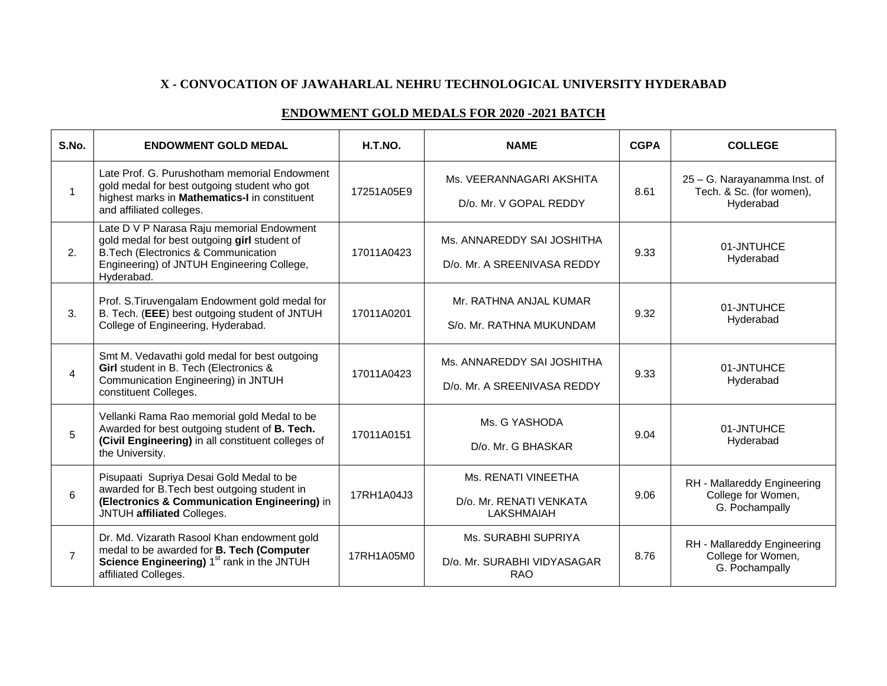#### **ENDOWMENT GOLD MEDALS FOR 2020 -2021 BATCH**

| S.No.          | <b>ENDOWMENT GOLD MEDAL</b>                                                                                                                                                                   | H.T.NO.    | <b>NAME</b>                                                         | <b>CGPA</b> | <b>COLLEGE</b>                                                        |
|----------------|-----------------------------------------------------------------------------------------------------------------------------------------------------------------------------------------------|------------|---------------------------------------------------------------------|-------------|-----------------------------------------------------------------------|
|                | Late Prof. G. Purushotham memorial Endowment<br>gold medal for best outgoing student who got<br>highest marks in Mathematics-I in constituent<br>and affiliated colleges.                     | 17251A05E9 | Ms. VEERANNAGARI AKSHITA<br>D/o. Mr. V GOPAL REDDY                  | 8.61        | 25 - G. Narayanamma Inst. of<br>Tech. & Sc. (for women),<br>Hyderabad |
| 2.             | Late D V P Narasa Raju memorial Endowment<br>gold medal for best outgoing girl student of<br>B. Tech (Electronics & Communication<br>Engineering) of JNTUH Engineering College,<br>Hyderabad. | 17011A0423 | Ms. ANNAREDDY SAI JOSHITHA<br>D/o. Mr. A SREENIVASA REDDY           | 9.33        | 01-JNTUHCE<br>Hyderabad                                               |
| 3.             | Prof. S. Tiruvengalam Endowment gold medal for<br>B. Tech. (EEE) best outgoing student of JNTUH<br>College of Engineering, Hyderabad.                                                         | 17011A0201 | Mr. RATHNA ANJAL KUMAR<br>S/o. Mr. RATHNA MUKUNDAM                  | 9.32        | 01-JNTUHCE<br>Hyderabad                                               |
| 4              | Smt M. Vedavathi gold medal for best outgoing<br>Girl student in B. Tech (Electronics &<br>Communication Engineering) in JNTUH<br>constituent Colleges.                                       | 17011A0423 | Ms. ANNAREDDY SAI JOSHITHA<br>D/o. Mr. A SREENIVASA REDDY           | 9.33        | 01-JNTUHCE<br>Hyderabad                                               |
| 5              | Vellanki Rama Rao memorial gold Medal to be<br>Awarded for best outgoing student of B. Tech.<br>(Civil Engineering) in all constituent colleges of<br>the University.                         | 17011A0151 | Ms. G YASHODA<br>D/o. Mr. G BHASKAR                                 | 9.04        | 01-JNTUHCE<br>Hyderabad                                               |
| 6              | Pisupaati Supriya Desai Gold Medal to be<br>awarded for B.Tech best outgoing student in<br>(Electronics & Communication Engineering) in<br>JNTUH affiliated Colleges.                         | 17RH1A04J3 | Ms. RENATI VINEETHA<br>D/o. Mr. RENATI VENKATA<br><b>LAKSHMAIAH</b> | 9.06        | RH - Mallareddy Engineering<br>College for Women,<br>G. Pochampally   |
| $\overline{7}$ | Dr. Md. Vizarath Rasool Khan endowment gold<br>medal to be awarded for B. Tech (Computer<br>Science Engineering) 1 <sup>st</sup> rank in the JNTUH<br>affiliated Colleges.                    | 17RH1A05M0 | Ms. SURABHI SUPRIYA<br>D/o. Mr. SURABHI VIDYASAGAR<br><b>RAO</b>    | 8.76        | RH - Mallareddy Engineering<br>College for Women,<br>G. Pochampally   |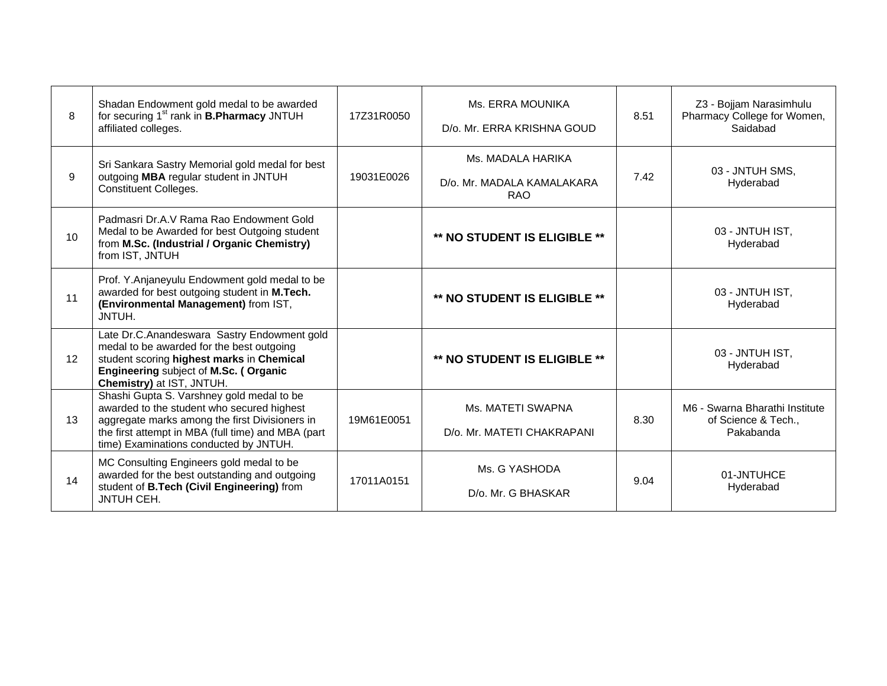| 8               | Shadan Endowment gold medal to be awarded<br>for securing 1 <sup>st</sup> rank in <b>B.Pharmacy</b> JNTUH<br>affiliated colleges.                                                                                                         | 17Z31R0050 | Ms. ERRA MOUNIKA<br>D/o. Mr. ERRA KRISHNA GOUD                | 8.51 | Z3 - Bojjam Narasimhulu<br>Pharmacy College for Women,<br>Saidabad |
|-----------------|-------------------------------------------------------------------------------------------------------------------------------------------------------------------------------------------------------------------------------------------|------------|---------------------------------------------------------------|------|--------------------------------------------------------------------|
| 9               | Sri Sankara Sastry Memorial gold medal for best<br>outgoing MBA regular student in JNTUH<br><b>Constituent Colleges.</b>                                                                                                                  | 19031E0026 | Ms. MADALA HARIKA<br>D/o. Mr. MADALA KAMALAKARA<br><b>RAO</b> | 7.42 | 03 - JNTUH SMS,<br>Hyderabad                                       |
| 10 <sup>1</sup> | Padmasri Dr.A.V Rama Rao Endowment Gold<br>Medal to be Awarded for best Outgoing student<br>from M.Sc. (Industrial / Organic Chemistry)<br>from IST, JNTUH                                                                                |            | ** NO STUDENT IS ELIGIBLE **                                  |      | 03 - JNTUH IST,<br>Hyderabad                                       |
| 11              | Prof. Y.Anjaneyulu Endowment gold medal to be<br>awarded for best outgoing student in M.Tech.<br>(Environmental Management) from IST,<br>JNTUH.                                                                                           |            | ** NO STUDENT IS ELIGIBLE **                                  |      | 03 - JNTUH IST,<br>Hyderabad                                       |
| 12              | Late Dr.C.Anandeswara Sastry Endowment gold<br>medal to be awarded for the best outgoing<br>student scoring highest marks in Chemical<br>Engineering subject of M.Sc. (Organic<br>Chemistry) at IST, JNTUH.                               |            | ** NO STUDENT IS ELIGIBLE **                                  |      | 03 - JNTUH IST,<br>Hyderabad                                       |
| 13              | Shashi Gupta S. Varshney gold medal to be<br>awarded to the student who secured highest<br>aggregate marks among the first Divisioners in<br>the first attempt in MBA (full time) and MBA (part<br>time) Examinations conducted by JNTUH. | 19M61E0051 | Ms. MATETI SWAPNA<br>D/o. Mr. MATETI CHAKRAPANI               | 8.30 | M6 - Swarna Bharathi Institute<br>of Science & Tech<br>Pakabanda   |
| 14              | MC Consulting Engineers gold medal to be<br>awarded for the best outstanding and outgoing<br>student of B.Tech (Civil Engineering) from<br><b>JNTUH CEH.</b>                                                                              | 17011A0151 | Ms. G YASHODA<br>D/o. Mr. G BHASKAR                           | 9.04 | 01-JNTUHCE<br>Hyderabad                                            |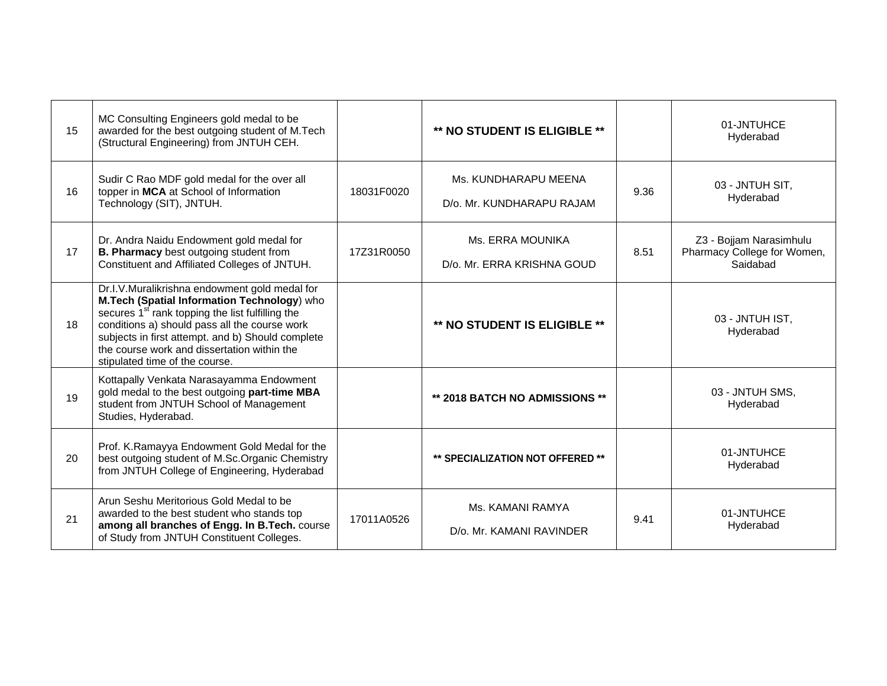| 15 | MC Consulting Engineers gold medal to be<br>awarded for the best outgoing student of M.Tech<br>(Structural Engineering) from JNTUH CEH.                                                                                                                                                                                                             |            | ** NO STUDENT IS ELIGIBLE **                      |      | 01-JNTUHCE<br>Hyderabad                                            |
|----|-----------------------------------------------------------------------------------------------------------------------------------------------------------------------------------------------------------------------------------------------------------------------------------------------------------------------------------------------------|------------|---------------------------------------------------|------|--------------------------------------------------------------------|
| 16 | Sudir C Rao MDF gold medal for the over all<br>topper in MCA at School of Information<br>Technology (SIT), JNTUH.                                                                                                                                                                                                                                   | 18031F0020 | Ms. KUNDHARAPU MEENA<br>D/o. Mr. KUNDHARAPU RAJAM | 9.36 | 03 - JNTUH SIT,<br>Hyderabad                                       |
| 17 | Dr. Andra Naidu Endowment gold medal for<br>B. Pharmacy best outgoing student from<br>Constituent and Affiliated Colleges of JNTUH.                                                                                                                                                                                                                 | 17Z31R0050 | Ms. ERRA MOUNIKA<br>D/o. Mr. ERRA KRISHNA GOUD    | 8.51 | Z3 - Bojjam Narasimhulu<br>Pharmacy College for Women,<br>Saidabad |
| 18 | Dr.I.V.Muralikrishna endowment gold medal for<br>M.Tech (Spatial Information Technology) who<br>secures 1 <sup>st</sup> rank topping the list fulfilling the<br>conditions a) should pass all the course work<br>subjects in first attempt. and b) Should complete<br>the course work and dissertation within the<br>stipulated time of the course. |            | ** NO STUDENT IS ELIGIBLE **                      |      | 03 - JNTUH IST,<br>Hyderabad                                       |
| 19 | Kottapally Venkata Narasayamma Endowment<br>gold medal to the best outgoing part-time MBA<br>student from JNTUH School of Management<br>Studies, Hyderabad.                                                                                                                                                                                         |            | ** 2018 BATCH NO ADMISSIONS **                    |      | 03 - JNTUH SMS,<br>Hyderabad                                       |
| 20 | Prof. K.Ramayya Endowment Gold Medal for the<br>best outgoing student of M.Sc.Organic Chemistry<br>from JNTUH College of Engineering, Hyderabad                                                                                                                                                                                                     |            | ** SPECIALIZATION NOT OFFERED **                  |      | 01-JNTUHCE<br>Hyderabad                                            |
| 21 | Arun Seshu Meritorious Gold Medal to be<br>awarded to the best student who stands top<br>among all branches of Engg. In B.Tech. course<br>of Study from JNTUH Constituent Colleges.                                                                                                                                                                 | 17011A0526 | Ms. KAMANI RAMYA<br>D/o. Mr. KAMANI RAVINDER      | 9.41 | 01-JNTUHCE<br>Hyderabad                                            |